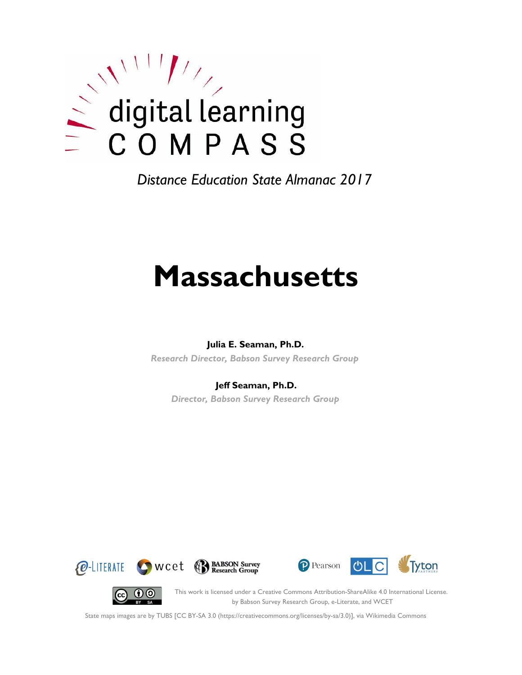

*Distance Education State Almanac 2017*

# **Massachusetts**

#### **Julia E. Seaman, Ph.D.**

*Research Director, Babson Survey Research Group*

#### **Jeff Seaman, Ph.D.**

*Director, Babson Survey Research Group*









This work is licensed under a Creative Commons Attribution-ShareAlike 4.0 International License. by Babson Survey Research Group, e-Literate, and WCET

State maps images are by TUBS [CC BY-SA 3.0 (https://creativecommons.org/licenses/by-sa/3.0)], via Wikimedia Commons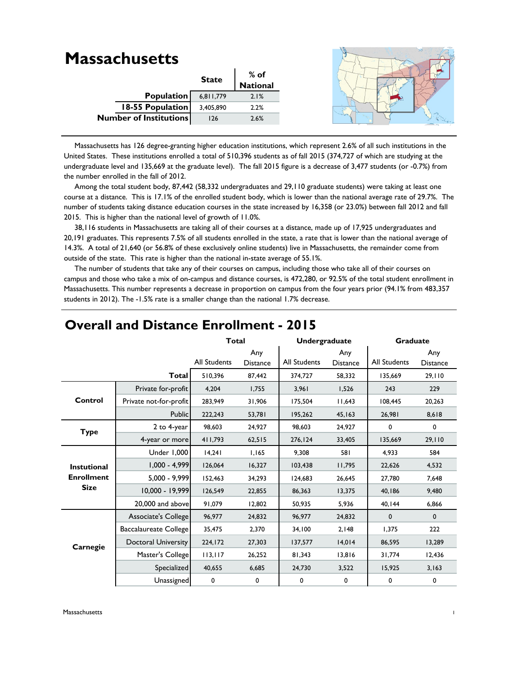#### **Massachusetts State % of National** 6,811,779 2.1% 3,405,890 2.2% 126 2.6% **Population 18-55 Population Number of Institutions**

 Massachusetts has 126 degree-granting higher education institutions, which represent 2.6% of all such institutions in the United States. These institutions enrolled a total of 510,396 students as of fall 2015 (374,727 of which are studying at the undergraduate level and 135,669 at the graduate level). The fall 2015 figure is a decrease of 3,477 students (or -0.7%) from the number enrolled in the fall of 2012.

Among the total student body, 87,442 (58,332 undergraduates and 29,110 graduate students) were taking at least one course at a distance. This is 17.1% of the enrolled student body, which is lower than the national average rate of 29.7%. The number of students taking distance education courses in the state increased by 16,358 (or 23.0%) between fall 2012 and fall 2015. This is higher than the national level of growth of 11.0%.

 38,116 students in Massachusetts are taking all of their courses at a distance, made up of 17,925 undergraduates and 20,191 graduates. This represents 7.5% of all students enrolled in the state, a rate that is lower than the national average of 14.3%. A total of 21,640 (or 56.8% of these exclusively online students) live in Massachusetts, the remainder come from outside of the state. This rate is higher than the national in-state average of 55.1%.

 The number of students that take any of their courses on campus, including those who take all of their courses on campus and those who take a mix of on-campus and distance courses, is 472,280, or 92.5% of the total student enrollment in Massachusetts. This number represents a decrease in proportion on campus from the four years prior (94.1% from 483,357 students in 2012). The -1.5% rate is a smaller change than the national 1.7% decrease.

|                    |                        | <b>Total</b>        |                        | <b>Undergraduate</b> |                        | <b>Graduate</b> |                        |
|--------------------|------------------------|---------------------|------------------------|----------------------|------------------------|-----------------|------------------------|
|                    |                        | <b>All Students</b> | Any<br><b>Distance</b> | <b>All Students</b>  | Any<br><b>Distance</b> | All Students    | Any<br><b>Distance</b> |
|                    | Total                  | 510,396             | 87,442                 | 374,727              | 58,332                 | 135.669         | 29,110                 |
|                    | Private for-profit     | 4,204               | 1,755                  | 3,961                | 1,526                  | 243             | 229                    |
| Control            | Private not-for-profit | 283,949             | 31,906                 | 175,504              | 11,643                 | 108,445         | 20,263                 |
|                    | Public                 | 222,243             | 53,781                 | 195,262              | 45,163                 | 26,981          | 8,618                  |
| <b>Type</b>        | 2 to 4-year            | 98,603              | 24,927                 | 98.603               | 24,927                 | 0               | 0                      |
|                    | 4-year or more         | 411,793             | 62,515                 | 276,124              | 33,405                 | 135,669         | 29,110                 |
|                    | <b>Under 1,000</b>     | 14,241              | 1,165                  | 9,308                | 581                    | 4,933           | 584                    |
| <b>Instutional</b> | $1,000 - 4,999$        | 126,064             | 16,327                 | 103,438              | 11,795                 | 22,626          | 4,532                  |
| <b>Enrollment</b>  | $5,000 - 9,999$        | 152,463             | 34,293                 | 124,683              | 26,645                 | 27,780          | 7,648                  |
| <b>Size</b>        | 10,000 - 19,999        | 126,549             | 22,855                 | 86,363               | 13,375                 | 40,186          | 9,480                  |
|                    | 20,000 and above       | 91,079              | 12,802                 | 50.935               | 5,936                  | 40,144          | 6,866                  |
|                    | Associate's College    | 96,977              | 24,832                 | 96,977               | 24,832                 | $\mathbf 0$     | $\mathbf 0$            |
|                    | Baccalaureate College  | 35,475              | 2,370                  | 34,100               | 2,148                  | 1,375           | 222                    |
| Carnegie           | Doctoral University    | 224,172             | 27,303                 | 137,577              | 14,014                 | 86,595          | 13,289                 |
|                    | Master's College       | 113,117             | 26,252                 | 81,343               | 13,816                 | 31,774          | 12,436                 |
|                    | Specialized            | 40,655              | 6,685                  | 24,730               | 3,522                  | 15,925          | 3,163                  |
|                    | Unassigned             | 0                   | 0                      | 0                    | 0                      | 0               | 0                      |

## **Overall and Distance Enrollment - 2015**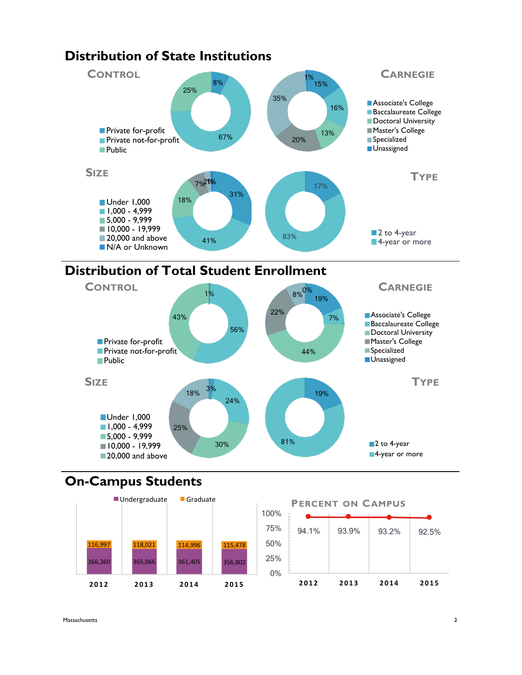

# **Distribution of State Institutions**

## **On-Campus Students**



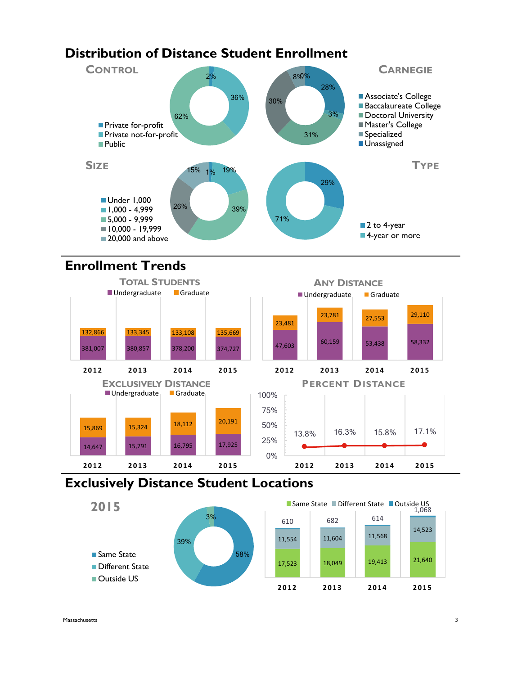## **Distribution of Distance Student Enrollment**



## **Enrollment Trends**



## **Exclusively Distance Student Locations**